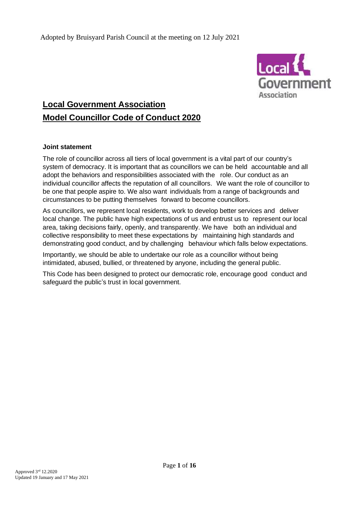

# **Local Government Association Model Councillor Code of Conduct 2020**

#### **Joint statement**

The role of councillor across all tiers of local government is a vital part of our country's system of democracy. It is important that as councillors we can be held accountable and all adopt the behaviors and responsibilities associated with the role. Our conduct as an individual councillor affects the reputation of all councillors. We want the role of councillor to be one that people aspire to. We also want individuals from a range of backgrounds and circumstances to be putting themselves forward to become councillors.

As councillors, we represent local residents, work to develop better services and deliver local change. The public have high expectations of us and entrust us to represent our local area, taking decisions fairly, openly, and transparently. We have both an individual and collective responsibility to meet these expectations by maintaining high standards and demonstrating good conduct, and by challenging behaviour which falls below expectations.

Importantly, we should be able to undertake our role as a councillor without being intimidated, abused, bullied, or threatened by anyone, including the general public.

This Code has been designed to protect our democratic role, encourage good conduct and safeguard the public's trust in local government.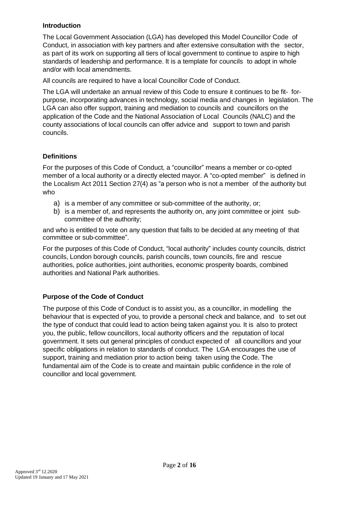### **Introduction**

The Local Government Association (LGA) has developed this Model Councillor Code of Conduct, in association with key partners and after extensive consultation with the sector, as part of its work on supporting all tiers of local government to continue to aspire to high standards of leadership and performance. It is a template for councils to adopt in whole and/or with local amendments.

All councils are required to have a local Councillor Code of Conduct.

The LGA will undertake an annual review of this Code to ensure it continues to be fit- forpurpose, incorporating advances in technology, social media and changes in legislation. The LGA can also offer support, training and mediation to councils and councillors on the application of the Code and the National Association of Local Councils (NALC) and the county associations of local councils can offer advice and support to town and parish councils.

# **Definitions**

For the purposes of this Code of Conduct, a "councillor" means a member or co-opted member of a local authority or a directly elected mayor. A "co-opted member" is defined in the Localism Act 2011 Section 27(4) as "a person who is not a member of the authority but who

- a) is a member of any committee or sub-committee of the authority, or;
- b) is a member of, and represents the authority on, any joint committee or joint subcommittee of the authority;

and who is entitled to vote on any question that falls to be decided at any meeting of that committee or sub-committee".

For the purposes of this Code of Conduct, "local authority" includes county councils, district councils, London borough councils, parish councils, town councils, fire and rescue authorities, police authorities, joint authorities, economic prosperity boards, combined authorities and National Park authorities.

# **Purpose of the Code of Conduct**

The purpose of this Code of Conduct is to assist you, as a councillor, in modelling the behaviour that is expected of you, to provide a personal check and balance, and to set out the type of conduct that could lead to action being taken against you. It is also to protect you, the public, fellow councillors, local authority officers and the reputation of local government. It sets out general principles of conduct expected of all councillors and your specific obligations in relation to standards of conduct. The LGA encourages the use of support, training and mediation prior to action being taken using the Code. The fundamental aim of the Code is to create and maintain public confidence in the role of councillor and local government.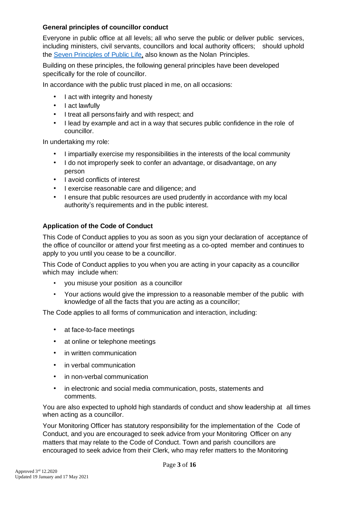### **General principles of councillor conduct**

Everyone in public office at all levels; all who serve the public or deliver public services, including ministers, civil servants, councillors and local authority officers; should uphold the Seven Principles of [Public Life,](https://www.gov.uk/government/publications/the-7-principles-of-public-life/the-7-principles-of-public-life--2) also known as the Nolan Principles.

Building on these principles, the following general principles have been developed specifically for the role of councillor.

In accordance with the public trust placed in me, on all occasions:

- I act with integrity and honesty
- I act lawfully
- I treat all persons fairly and with respect; and
- I lead by example and act in a way that secures public confidence in the role of councillor.

In undertaking my role:

- I impartially exercise my responsibilities in the interests of the local community
- I do not improperly seek to confer an advantage, or disadvantage, on any person
- I avoid conflicts of interest
- I exercise reasonable care and diligence; and
- I ensure that public resources are used prudently in accordance with my local authority's requirements and in the public interest.

# **Application of the Code of Conduct**

This Code of Conduct applies to you as soon as you sign your declaration of acceptance of the office of councillor or attend your first meeting as a co-opted member and continues to apply to you until you cease to be a councillor.

This Code of Conduct applies to you when you are acting in your capacity as a councillor which may include when:

- you misuse your position as a councillor
- Your actions would give the impression to a reasonable member of the public with knowledge of all the facts that you are acting as a councillor;

The Code applies to all forms of communication and interaction, including:

- at face-to-face meetings
- at online or telephone meetings
- in written communication
- in verbal communication
- in non-verbal communication
- in electronic and social media communication, posts, statements and comments.

You are also expected to uphold high standards of conduct and show leadership at all times when acting as a councillor.

Your Monitoring Officer has statutory responsibility for the implementation of the Code of Conduct, and you are encouraged to seek advice from your Monitoring Officer on any matters that may relate to the Code of Conduct. Town and parish councillors are encouraged to seek advice from their Clerk, who may refer matters to the Monitoring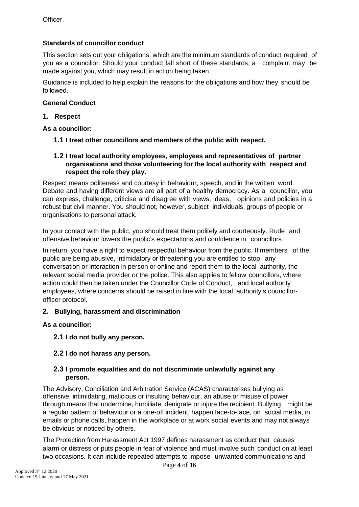# **Standards of councillor conduct**

This section sets out your obligations, which are the minimum standards of conduct required of you as a councillor. Should your conduct fall short of these standards, a complaint may be made against you, which may result in action being taken.

Guidance is included to help explain the reasons for the obligations and how they should be followed.

# **General Conduct**

### **1. Respect**

**As a councillor:**

- **1.1 I treat other councillors and members of the public with respect.**
- **1.2 I treat local authority employees, employees and representatives of partner organisations and those volunteering for the local authority with respect and respect the role they play.**

Respect means politeness and courtesy in behaviour, speech, and in the written word. Debate and having different views are all part of a healthy democracy. As a councillor, you can express, challenge, criticise and disagree with views, ideas, opinions and policies in a robust but civil manner. You should not, however, subject individuals, groups of people or organisations to personal attack.

In your contact with the public, you should treat them politely and courteously. Rude and offensive behaviour lowers the public's expectations and confidence in councillors.

In return, you have a right to expect respectful behaviour from the public. If members of the public are being abusive, intimidatory or threatening you are entitled to stop any conversation or interaction in person or online and report them to the local authority, the relevant social media provider or the police. This also applies to fellow councillors, where action could then be taken under the Councillor Code of Conduct, and local authority employees, where concerns should be raised in line with the local authority's councillorofficer protocol.

# **2. Bullying, harassment and discrimination**

**As a councillor:**

**2.1 I do not bully any person.**

# **2.2 I do not harass any person.**

#### **2.3 I promote equalities and do not discriminate unlawfully against any person.**

The Advisory, Conciliation and Arbitration Service (ACAS) characterises bullying as offensive, intimidating, malicious or insulting behaviour, an abuse or misuse of power through means that undermine, humiliate, denigrate or injure the recipient. Bullying might be a regular pattern of behaviour or a one-off incident, happen face-to-face, on social media, in emails or phone calls, happen in the workplace or at work social events and may not always be obvious or noticed by others.

The Protection from Harassment Act 1997 defines harassment as conduct that causes alarm or distress or puts people in fear of violence and must involve such conduct on at least two occasions. It can include repeated attempts to impose unwanted communications and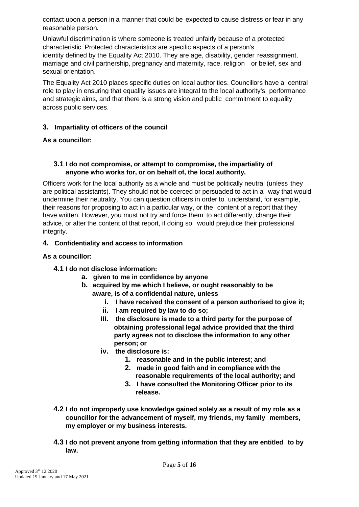contact upon a person in a manner that could be expected to cause distress or fear in any reasonable person.

Unlawful discrimination is where someone is treated unfairly because of a protected characteristic. Protected characteristics are specific aspects of a person's identity defined by the Equality Act 2010. They are age, disability, gender reassignment, marriage and civil partnership, pregnancy and maternity, race, religion or belief, sex and sexual orientation.

The Equality Act 2010 places specific duties on local authorities. Councillors have a central role to play in ensuring that equality issues are integral to the local authority's performance and strategic aims, and that there is a strong vision and public commitment to equality across public services.

#### **3. Impartiality of officers of the council**

# **As a councillor:**

### **3.1 I do not compromise, or attempt to compromise, the impartiality of anyone who works for, or on behalf of, the local authority.**

Officers work for the local authority as a whole and must be politically neutral (unless they are political assistants). They should not be coerced or persuaded to act in a way that would undermine their neutrality. You can question officers in order to understand, for example, their reasons for proposing to act in a particular way, or the content of a report that they have written. However, you must not try and force them to act differently, change their advice, or alter the content of that report, if doing so would prejudice their professional integrity.

# **4. Confidentiality and access to information**

# **As a councillor:**

# **4.1 I do not disclose information:**

- **a. given to me in confidence by anyone**
- **b. acquired by me which I believe, or ought reasonably to be aware, is of a confidential nature, unless**
	- **i. I have received the consent of a person authorised to give it;**
	- **ii. I am required by law to do so;**
	- **iii. the disclosure is made to a third party for the purpose of obtaining professional legal advice provided that the third party agrees not to disclose the information to any other person; or**
	- **iv. the disclosure is:**
		- **1. reasonable and in the public interest; and**
		- **2. made in good faith and in compliance with the reasonable requirements of the local authority; and**
		- **3. I have consulted the Monitoring Officer prior to its release.**
- **4.2 I do not improperly use knowledge gained solely as a result of my role as a councillor for the advancement of myself, my friends, my family members, my employer or my business interests.**
- **4.3 I do not prevent anyone from getting information that they are entitled to by law.**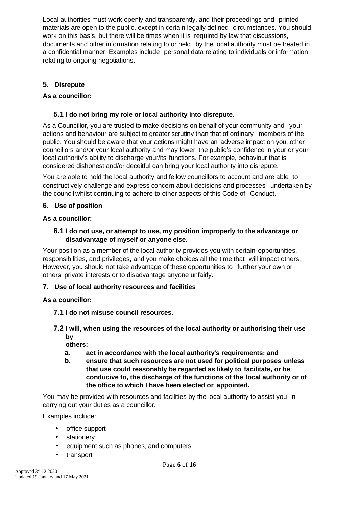Local authorities must work openly and transparently, and their proceedings and printed materials are open to the public, except in certain legally defined circumstances. You should work on this basis, but there will be times when it is required by law that discussions, documents and other information relating to or held by the local authority must be treated in a confidential manner. Examples include personal data relating to individuals or information relating to ongoing negotiations.

# **5. Disrepute**

# **As a councillor:**

# **5.1 I do not bring my role or local authority into disrepute.**

As a Councillor, you are trusted to make decisions on behalf of your community and your actions and behaviour are subject to greater scrutiny than that of ordinary members of the public. You should be aware that your actions might have an adverse impact on you, other councillors and/or your local authority and may lower the public's confidence in your or your local authority's ability to discharge your/its functions. For example, behaviour that is considered dishonest and/or deceitful can bring your local authority into disrepute.

You are able to hold the local authority and fellow councillors to account and are able to constructively challenge and express concern about decisions and processes undertaken by the council whilst continuing to adhere to other aspects of this Code of Conduct.

# **6. Use of position**

# **As a councillor:**

### **6.1 I do not use, or attempt to use, my position improperly to the advantage or disadvantage of myself or anyone else.**

Your position as a member of the local authority provides you with certain opportunities, responsibilities, and privileges, and you make choices all the time that will impact others. However, you should not take advantage of these opportunities to further your own or others' private interests or to disadvantage anyone unfairly.

# **7. Use of local authority resources and facilities**

# **As a councillor:**

- **7.1 I do not misuse council resources.**
- **7.2 I will, when using the resources of the local authority or authorising their use by**

**others:**

- **a. act in accordance with the local authority's requirements; and**
- **b. ensure that such resources are not used for political purposes unless that use could reasonably be regarded as likely to facilitate, or be conducive to, the discharge of the functions of the local authority or of the office to which I have been elected or appointed.**

You may be provided with resources and facilities by the local authority to assist you in carrying out your duties as a councillor.

Examples include:

- office support
- stationery
- equipment such as phones, and computers
- transport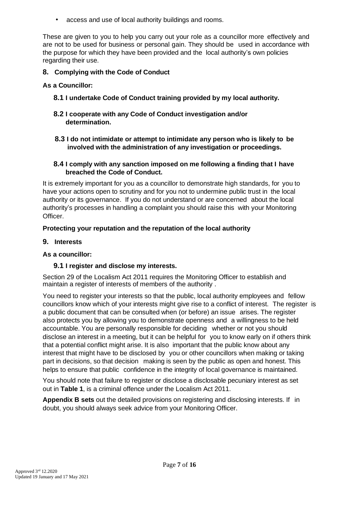• access and use of local authority buildings and rooms.

These are given to you to help you carry out your role as a councillor more effectively and are not to be used for business or personal gain. They should be used in accordance with the purpose for which they have been provided and the local authority's own policies regarding their use.

# **8. Complying with the Code of Conduct**

#### **As a Councillor:**

- **8.1 I undertake Code of Conduct training provided by my local authority.**
- **8.2 I cooperate with any Code of Conduct investigation and/or determination.**
- **8.3 I do not intimidate or attempt to intimidate any person who is likely to be involved with the administration of any investigation or proceedings.**

#### **8.4 I comply with any sanction imposed on me following a finding that I have breached the Code of Conduct.**

It is extremely important for you as a councillor to demonstrate high standards, for you to have your actions open to scrutiny and for you not to undermine public trust in the local authority or its governance. If you do not understand or are concerned about the local authority's processes in handling a complaint you should raise this with your Monitoring Officer.

#### **Protecting your reputation and the reputation of the local authority**

#### **9. Interests**

#### **As a councillor:**

#### **9.1 I register and disclose my interests.**

Section 29 of the Localism Act 2011 requires the Monitoring Officer to establish and maintain a register of interests of members of the authority .

You need to register your interests so that the public, local authority employees and fellow councillors know which of your interests might give rise to a conflict of interest. The register is a public document that can be consulted when (or before) an issue arises. The register also protects you by allowing you to demonstrate openness and a willingness to be held accountable. You are personally responsible for deciding whether or not you should disclose an interest in a meeting, but it can be helpful for you to know early on if others think that a potential conflict might arise. It is also important that the public know about any interest that might have to be disclosed by you or other councillors when making or taking part in decisions, so that decision making is seen by the public as open and honest. This helps to ensure that public confidence in the integrity of local governance is maintained.

You should note that failure to register or disclose a disclosable pecuniary interest as set out in **Table 1**, is a criminal offence under the Localism Act 2011.

**Appendix B sets** out the detailed provisions on registering and disclosing interests. If in doubt, you should always seek advice from your Monitoring Officer.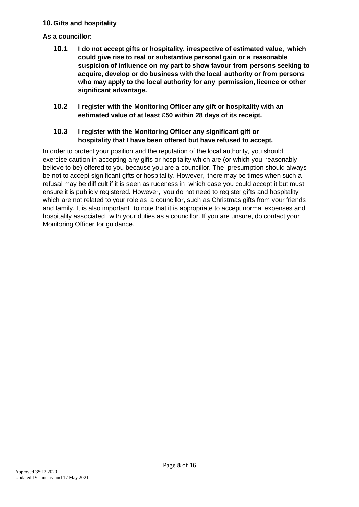# **10.Gifts and hospitality**

# **As a councillor:**

- **10.1 I do not accept gifts or hospitality, irrespective of estimated value, which could give rise to real or substantive personal gain or a reasonable suspicion of influence on my part to show favour from persons seeking to acquire, develop or do business with the local authority or from persons who may apply to the local authority for any permission, licence or other significant advantage.**
- **10.2 I register with the Monitoring Officer any gift or hospitality with an estimated value of at least £50 within 28 days of its receipt.**

# **10.3 I register with the Monitoring Officer any significant gift or hospitality that I have been offered but have refused to accept.**

In order to protect your position and the reputation of the local authority, you should exercise caution in accepting any gifts or hospitality which are (or which you reasonably believe to be) offered to you because you are a councillor. The presumption should always be not to accept significant gifts or hospitality. However, there may be times when such a refusal may be difficult if it is seen as rudeness in which case you could accept it but must ensure it is publicly registered. However, you do not need to register gifts and hospitality which are not related to your role as a councillor, such as Christmas gifts from your friends and family. It is also important to note that it is appropriate to accept normal expenses and hospitality associated with your duties as a councillor. If you are unsure, do contact your Monitoring Officer for guidance.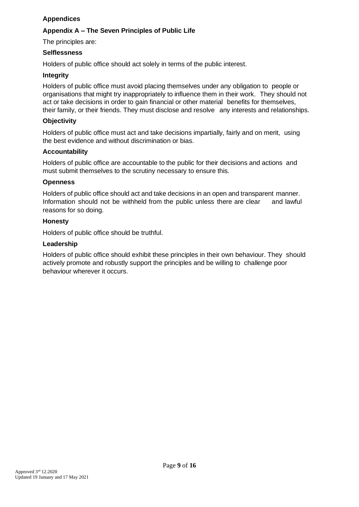# **Appendices**

# **Appendix A – The Seven Principles of Public Life**

The principles are:

#### **Selflessness**

Holders of public office should act solely in terms of the public interest.

#### **Integrity**

Holders of public office must avoid placing themselves under any obligation to people or organisations that might try inappropriately to influence them in their work. They should not act or take decisions in order to gain financial or other material benefits for themselves, their family, or their friends. They must disclose and resolve any interests and relationships.

### **Objectivity**

Holders of public office must act and take decisions impartially, fairly and on merit, using the best evidence and without discrimination or bias.

#### **Accountability**

Holders of public office are accountable to the public for their decisions and actions and must submit themselves to the scrutiny necessary to ensure this.

#### **Openness**

Holders of public office should act and take decisions in an open and transparent manner. Information should not be withheld from the public unless there are clear and lawful reasons for so doing.

#### **Honesty**

Holders of public office should be truthful.

#### **Leadership**

Holders of public office should exhibit these principles in their own behaviour. They should actively promote and robustly support the principles and be willing to challenge poor behaviour wherever it occurs.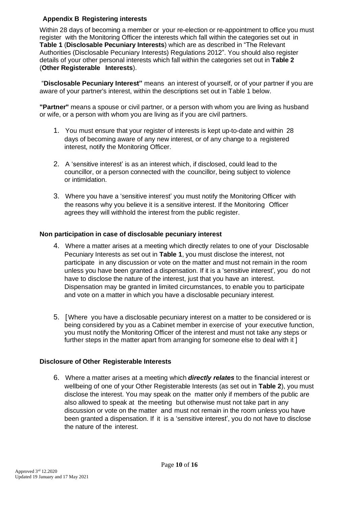# **Appendix B Registering interests**

Within 28 days of becoming a member or your re-election or re-appointment to office you must register with the Monitoring Officer the interests which fall within the categories set out in **Table 1** (**Disclosable Pecuniary Interests**) which are as described in "The Relevant Authorities (Disclosable Pecuniary Interests) Regulations 2012". You should also register details of your other personal interests which fall within the categories set out in **Table 2** (**Other Registerable Interests**).

"**Disclosable Pecuniary Interest"** means an interest of yourself, or of your partner if you are aware of your partner's interest, within the descriptions set out in Table 1 below.

**"Partner"** means a spouse or civil partner, or a person with whom you are living as husband or wife, or a person with whom you are living as if you are civil partners.

- 1. You must ensure that your register of interests is kept up-to-date and within 28 days of becoming aware of any new interest, or of any change to a registered interest, notify the Monitoring Officer.
- 2. A 'sensitive interest' is as an interest which, if disclosed, could lead to the councillor, or a person connected with the councillor, being subject to violence or intimidation.
- 3. Where you have a 'sensitive interest' you must notify the Monitoring Officer with the reasons why you believe it is a sensitive interest. If the Monitoring Officer agrees they will withhold the interest from the public register.

# **Non participation in case of disclosable pecuniary interest**

- 4. Where a matter arises at a meeting which directly relates to one of your Disclosable Pecuniary Interests as set out in **Table 1**, you must disclose the interest, not participate in any discussion or vote on the matter and must not remain in the room unless you have been granted a dispensation. If it is a 'sensitive interest', you do not have to disclose the nature of the interest, just that you have an interest. Dispensation may be granted in limited circumstances, to enable you to participate and vote on a matter in which you have a disclosable pecuniary interest.
- 5. [Where you have a disclosable pecuniary interest on a matter to be considered or is being considered by you as a Cabinet member in exercise of your executive function, you must notify the Monitoring Officer of the interest and must not take any steps or further steps in the matter apart from arranging for someone else to deal with it ]

#### **Disclosure of Other Registerable Interests**

6. Where a matter arises at a meeting which *directly relates* to the financial interest or wellbeing of one of your Other Registerable Interests (as set out in **Table 2**), you must disclose the interest. You may speak on the matter only if members of the public are also allowed to speak at the meeting but otherwise must not take part in any discussion or vote on the matter and must not remain in the room unless you have been granted a dispensation. If it is a 'sensitive interest', you do not have to disclose the nature of the interest.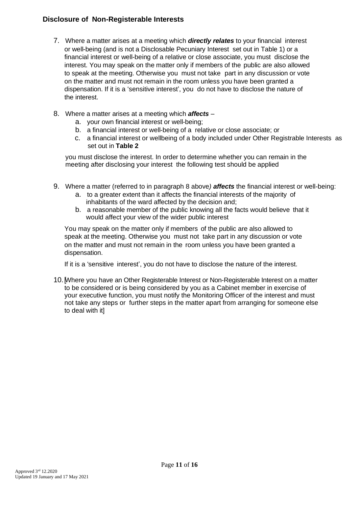# **Disclosure of Non-Registerable Interests**

- 7. Where a matter arises at a meeting which *directly relates* to your financial interest or well-being (and is not a Disclosable Pecuniary Interest set out in Table 1) or a financial interest or well-being of a relative or close associate, you must disclose the interest. You may speak on the matter only if members of the public are also allowed to speak at the meeting. Otherwise you must not take part in any discussion or vote on the matter and must not remain in the room unless you have been granted a dispensation. If it is a 'sensitive interest', you do not have to disclose the nature of the interest.
- 8. Where a matter arises at a meeting which *affects*
	- a. your own financial interest or well-being;
	- b. a financial interest or well-being of a relative or close associate; or
	- c. a financial interest or wellbeing of a body included under Other Registrable Interests as set out in **Table 2**

you must disclose the interest. In order to determine whether you can remain in the meeting after disclosing your interest the following test should be applied

- 9. Where a matter (referred to in paragraph 8 above*) affects* the financial interest or well-being:
	- a. to a greater extent than it affects the financial interests of the majority of inhabitants of the ward affected by the decision and;
	- b. a reasonable member of the public knowing all the facts would believe that it would affect your view of the wider public interest

You may speak on the matter only if members of the public are also allowed to speak at the meeting. Otherwise you must not take part in any discussion or vote on the matter and must not remain in the room unless you have been granted a dispensation.

If it is a 'sensitive interest', you do not have to disclose the nature of the interest.

10. Where you have an Other Registerable Interest or Non-Registerable Interest on a matter to be considered or is being considered by you as a Cabinet member in exercise of your executive function, you must notify the Monitoring Officer of the interest and must not take any steps or further steps in the matter apart from arranging for someone else to deal with it]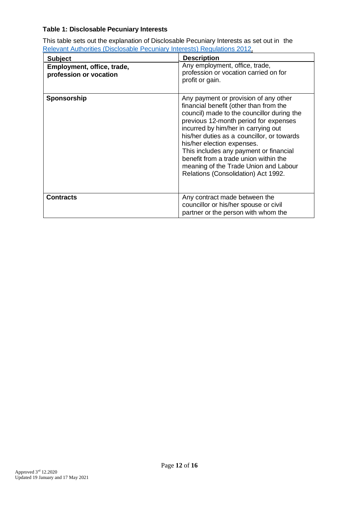# **Table 1: Disclosable Pecuniary Interests**

This table sets out the explanation of Disclosable Pecuniary Interests as set out in the Relevant Authorities [\(Disclosable Pecuniary Interests\) Regulations](https://www.legislation.gov.uk/uksi/2012/1464/made) 2012.

| <b>Subject</b>                                       | <b>Description</b>                                                                                                                                                                                                                                                                                                                                                                                                                                           |
|------------------------------------------------------|--------------------------------------------------------------------------------------------------------------------------------------------------------------------------------------------------------------------------------------------------------------------------------------------------------------------------------------------------------------------------------------------------------------------------------------------------------------|
| Employment, office, trade,<br>profession or vocation | Any employment, office, trade,<br>profession or vocation carried on for<br>profit or gain.                                                                                                                                                                                                                                                                                                                                                                   |
| Sponsorship                                          | Any payment or provision of any other<br>financial benefit (other than from the<br>council) made to the councillor during the<br>previous 12-month period for expenses<br>incurred by him/her in carrying out<br>his/her duties as a councillor, or towards<br>his/her election expenses.<br>This includes any payment or financial<br>benefit from a trade union within the<br>meaning of the Trade Union and Labour<br>Relations (Consolidation) Act 1992. |
| <b>Contracts</b>                                     | Any contract made between the<br>councillor or his/her spouse or civil<br>partner or the person with whom the                                                                                                                                                                                                                                                                                                                                                |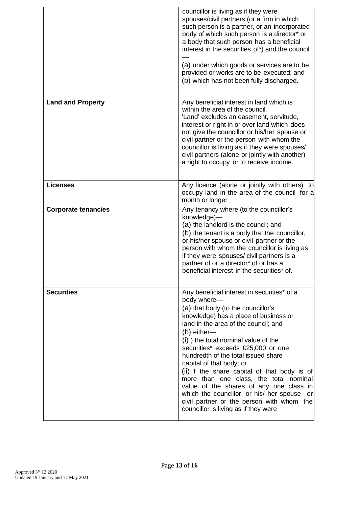|                            | councillor is living as if they were<br>spouses/civil partners (or a firm in which<br>such person is a partner, or an incorporated<br>body of which such person is a director* or<br>a body that such person has a beneficial<br>interest in the securities of*) and the council<br>(a) under which goods or services are to be<br>provided or works are to be executed; and<br>(b) which has not been fully discharged.                                                                                                                                                                                                      |
|----------------------------|-------------------------------------------------------------------------------------------------------------------------------------------------------------------------------------------------------------------------------------------------------------------------------------------------------------------------------------------------------------------------------------------------------------------------------------------------------------------------------------------------------------------------------------------------------------------------------------------------------------------------------|
| <b>Land and Property</b>   | Any beneficial interest in land which is<br>within the area of the council.<br>'Land' excludes an easement, servitude,<br>interest or right in or over land which does<br>not give the councillor or his/her spouse or<br>civil partner or the person with whom the<br>councillor is living as if they were spouses/<br>civil partners (alone or jointly with another)<br>a right to occupy or to receive income.                                                                                                                                                                                                             |
| <b>Licenses</b>            | Any licence (alone or jointly with others) to<br>occupy land in the area of the council for a<br>month or longer                                                                                                                                                                                                                                                                                                                                                                                                                                                                                                              |
| <b>Corporate tenancies</b> | Any tenancy where (to the councillor's<br>knowledge)-<br>(a) the landlord is the council; and<br>(b) the tenant is a body that the councillor,<br>or his/her spouse or civil partner or the<br>person with whom the councillor is living as<br>if they were spouses/civil partners is a<br>partner of or a director* of or has a<br>beneficial interest in the securities* of.                                                                                                                                                                                                                                                |
| <b>Securities</b>          | Any beneficial interest in securities* of a<br>body where-<br>(a) that body (to the councillor's<br>knowledge) has a place of business or<br>land in the area of the council; and<br>(b) either-<br>(i) ) the total nominal value of the<br>securities* exceeds £25,000 or one<br>hundredth of the total issued share<br>capital of that body; or<br>(ii) if the share capital of that body is of<br>more than one class, the total nominal<br>value of the shares of any one class in<br>which the councillor, or his/ her spouse<br>or<br>civil partner or the person with whom the<br>councillor is living as if they were |

 $\sim 10^{11}$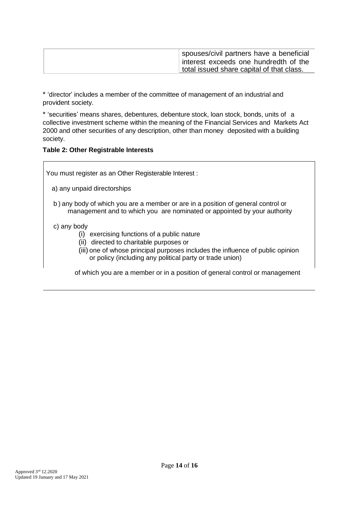| spouses/civil partners have a beneficial  |
|-------------------------------------------|
| interest exceeds one hundredth of the     |
| total issued share capital of that class. |

\* 'director' includes a member of the committee of management of an industrial and provident society.

\* 'securities' means shares, debentures, debenture stock, loan stock, bonds, units of a collective investment scheme within the meaning of the Financial Services and Markets Act 2000 and other securities of any description, other than money deposited with a building society.

#### **Table 2: Other Registrable Interests**

You must register as an Other Registerable Interest :

- a) any unpaid directorships
- b ) any body of which you are a member or are in a position of general control or management and to which you are nominated or appointed by your authority

#### c) any body

- (i) exercising functions of a public nature
- (ii) directed to charitable purposes or
- (iii) one of whose principal purposes includes the influence of public opinion or policy (including any political party or trade union)

of which you are a member or in a position of general control or management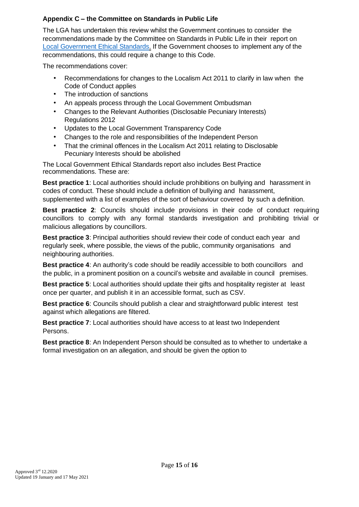# **Appendix C – the Committee on Standards in Public Life**

The LGA has undertaken this review whilst the Government continues to consider the recommendations made by the Committee on Standards in Public Life in their report on [Local Government](https://www.gov.uk/government/publications/local-government-ethical-standards-report) Ethical Standards. If the Government chooses to implement any of the recommendations, this could require a change to this Code.

The recommendations cover:

- Recommendations for changes to the Localism Act 2011 to clarify in law when the Code of Conduct applies
- The introduction of sanctions
- An appeals process through the Local Government Ombudsman
- Changes to the Relevant Authorities (Disclosable Pecuniary Interests) Regulations 2012
- Updates to the Local Government Transparency Code
- Changes to the role and responsibilities of the Independent Person
- That the criminal offences in the Localism Act 2011 relating to Disclosable Pecuniary Interests should be abolished

The Local Government Ethical Standards report also includes Best Practice recommendations. These are:

**Best practice 1**: Local authorities should include prohibitions on bullying and harassment in codes of conduct. These should include a definition of bullying and harassment, supplemented with a list of examples of the sort of behaviour covered by such a definition.

**Best practice 2**: Councils should include provisions in their code of conduct requiring councillors to comply with any formal standards investigation and prohibiting trivial or malicious allegations by councillors.

**Best practice 3**: Principal authorities should review their code of conduct each year and regularly seek, where possible, the views of the public, community organisations and neighbouring authorities.

**Best practice 4**: An authority's code should be readily accessible to both councillors and the public, in a prominent position on a council's website and available in council premises.

**Best practice 5**: Local authorities should update their gifts and hospitality register at least once per quarter, and publish it in an accessible format, such as CSV.

**Best practice 6**: Councils should publish a clear and straightforward public interest test against which allegations are filtered.

**Best practice 7**: Local authorities should have access to at least two Independent Persons.

**Best practice 8**: An Independent Person should be consulted as to whether to undertake a formal investigation on an allegation, and should be given the option to